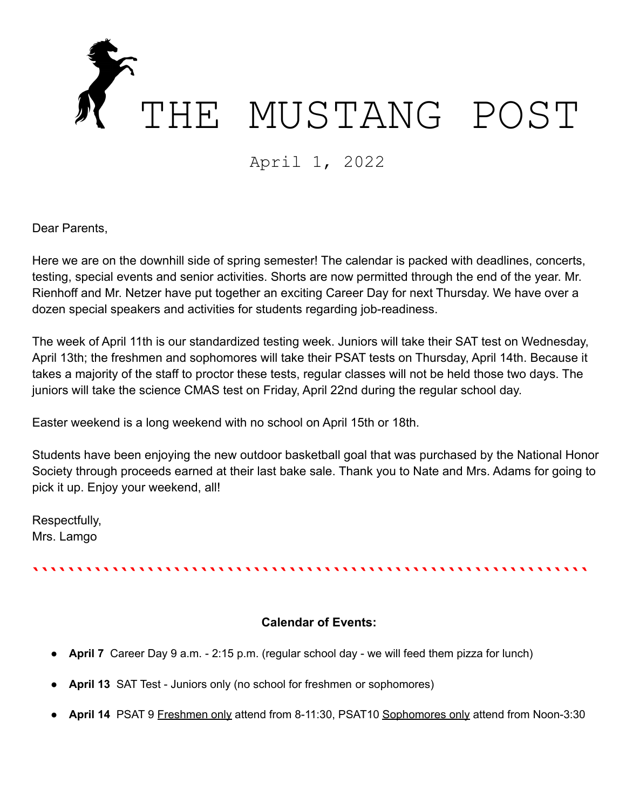

April 1, 2022

Dear Parents,

Here we are on the downhill side of spring semester! The calendar is packed with deadlines, concerts, testing, special events and senior activities. Shorts are now permitted through the end of the year. Mr. Rienhoff and Mr. Netzer have put together an exciting Career Day for next Thursday. We have over a dozen special speakers and activities for students regarding job-readiness.

The week of April 11th is our standardized testing week. Juniors will take their SAT test on Wednesday, April 13th; the freshmen and sophomores will take their PSAT tests on Thursday, April 14th. Because it takes a majority of the staff to proctor these tests, regular classes will not be held those two days. The juniors will take the science CMAS test on Friday, April 22nd during the regular school day.

Easter weekend is a long weekend with no school on April 15th or 18th.

Students have been enjoying the new outdoor basketball goal that was purchased by the National Honor Society through proceeds earned at their last bake sale. Thank you to Nate and Mrs. Adams for going to pick it up. Enjoy your weekend, all!

Respectfully, Mrs. Lamgo

```````````````````````````````````````````````````````````````

## **Calendar of Events:**

- April 7 Career Day 9 a.m. 2:15 p.m. (regular school day we will feed them pizza for lunch)
- **April 13** SAT Test Juniors only (no school for freshmen or sophomores)
- **April 14** PSAT 9 Freshmen only attend from 8-11:30, PSAT10 Sophomores only attend from Noon-3:30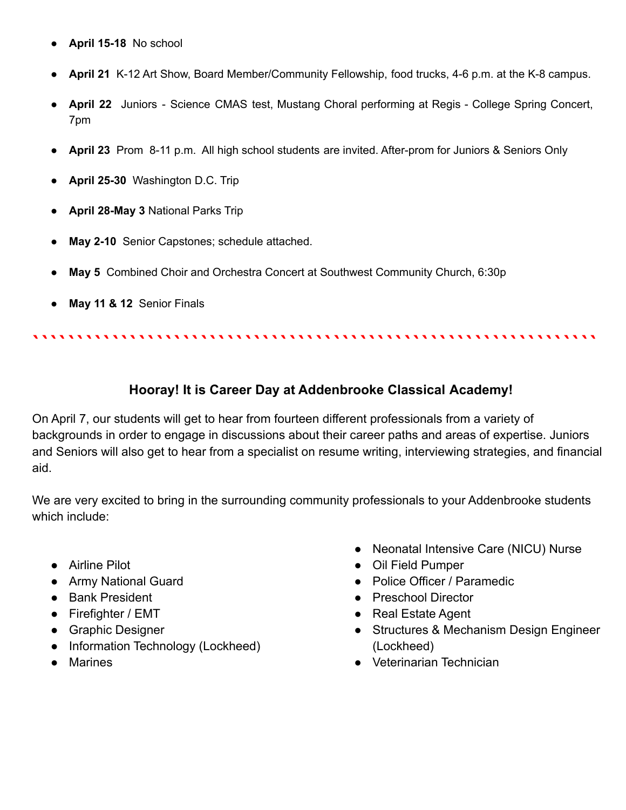- **April 15-18** No school
- **April 21** K-12 Art Show, Board Member/Community Fellowship, food trucks, 4-6 p.m. at the K-8 campus.
- **April 22** Juniors Science CMAS test, Mustang Choral performing at Regis College Spring Concert, 7pm
- **April 23** Prom 8-11 p.m. All high school students are invited. After-prom for Juniors & Seniors Only
- **April 25-30** Washington D.C. Trip
- **April 28-May 3** National Parks Trip
- **May 2-10** Senior Capstones; schedule attached.
- **May 5** Combined Choir and Orchestra Concert at Southwest Community Church, 6:30p
- **May 11 & 12** Senior Finals

## **Hooray! It is Career Day at Addenbrooke Classical Academy!**

````````````````````````````````````````````````````````````````

On April 7, our students will get to hear from fourteen different professionals from a variety of backgrounds in order to engage in discussions about their career paths and areas of expertise. Juniors and Seniors will also get to hear from a specialist on resume writing, interviewing strategies, and financial aid.

We are very excited to bring in the surrounding community professionals to your Addenbrooke students which include:

- Airline Pilot
- Army National Guard
- Bank President
- Firefighter / EMT
- Graphic Designer
- Information Technology (Lockheed)
- Marines
- Neonatal Intensive Care (NICU) Nurse
- Oil Field Pumper
- Police Officer / Paramedic
- Preschool Director
- Real Estate Agent
- Structures & Mechanism Design Engineer (Lockheed)
- Veterinarian Technician